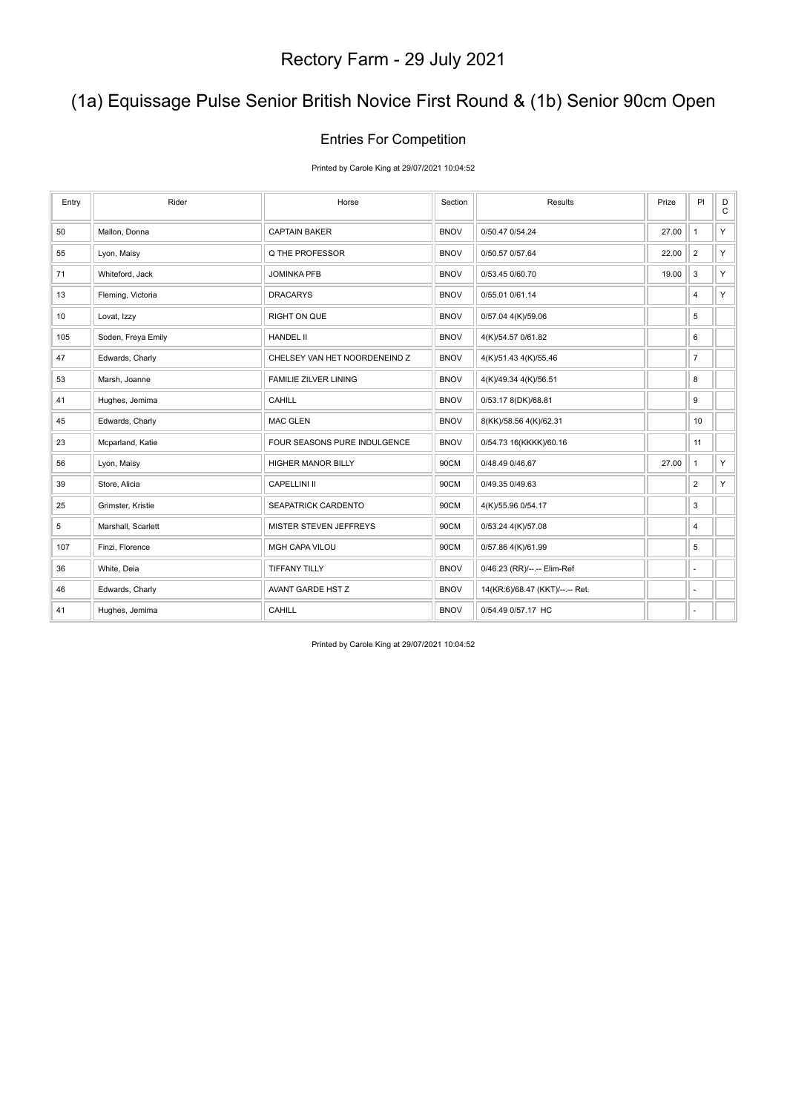### (1a) Equissage Pulse Senior British Novice First Round & (1b) Senior 90cm Open

#### Entries For Competition

Printed by Carole King at 29/07/2021 10:04:52

| Entry | Rider              | Horse                         | Section     | <b>Results</b>                  | Prize | PI             | D<br>$\mathtt{C}$ |
|-------|--------------------|-------------------------------|-------------|---------------------------------|-------|----------------|-------------------|
| 50    | Mallon, Donna      | <b>CAPTAIN BAKER</b>          | <b>BNOV</b> | 0/50.47 0/54.24                 | 27.00 | $\mathbf{1}$   | Y                 |
| 55    | Lyon, Maisy        | Q THE PROFESSOR               | <b>BNOV</b> | 0/50.57 0/57.64                 | 22.00 | $\overline{2}$ | Y                 |
| 71    | Whiteford, Jack    | <b>JOMINKA PFB</b>            | <b>BNOV</b> | 0/53.45 0/60.70                 | 19.00 | $\mathbf{3}$   | Y.                |
| 13    | Fleming, Victoria  | <b>DRACARYS</b>               | <b>BNOV</b> | 0/55.01 0/61.14                 |       | 4              | Y                 |
| 10    | Lovat, Izzy        | <b>RIGHT ON QUE</b>           | <b>BNOV</b> | 0/57.04 4(K)/59.06              |       | 5              |                   |
| 105   | Soden, Freya Emily | <b>HANDEL II</b>              | <b>BNOV</b> | 4(K)/54.57 0/61.82              |       | 6              |                   |
| 47    | Edwards, Charly    | CHELSEY VAN HET NOORDENEIND Z | <b>BNOV</b> | 4(K)/51.43 4(K)/55.46           |       | $\overline{7}$ |                   |
| 53    | Marsh, Joanne      | <b>FAMILIE ZILVER LINING</b>  | <b>BNOV</b> | 4(K)/49.34 4(K)/56.51           |       | 8              |                   |
| 41    | Hughes, Jemima     | CAHILL                        | <b>BNOV</b> | 0/53.17 8(DK)/68.81             |       | 9              |                   |
| 45    | Edwards, Charly    | <b>MAC GLEN</b>               | <b>BNOV</b> | 8(KK)/58.56 4(K)/62.31          |       | 10             |                   |
| 23    | Mcparland, Katie   | FOUR SEASONS PURE INDULGENCE  | <b>BNOV</b> | 0/54.73 16(KKKK)/60.16          |       | 11             |                   |
| 56    | Lyon, Maisy        | <b>HIGHER MANOR BILLY</b>     | 90CM        | 0/48.49 0/46.67                 | 27.00 | $\mathbf{1}$   | Y                 |
| 39    | Store, Alicia      | <b>CAPELLINI II</b>           | 90CM        | 0/49.35 0/49.63                 |       | $\overline{2}$ | Y.                |
| 25    | Grimster, Kristie  | SEAPATRICK CARDENTO           | 90CM        | 4(K)/55.96 0/54.17              |       | 3              |                   |
| 5     | Marshall, Scarlett | MISTER STEVEN JEFFREYS        | 90CM        | 0/53.24 4(K)/57.08              |       | 4              |                   |
| 107   | Finzi, Florence    | MGH CAPA VILOU                | 90CM        | 0/57.86 4(K)/61.99              |       | 5              |                   |
| 36    | White, Deia        | <b>TIFFANY TILLY</b>          | <b>BNOV</b> | 0/46.23 (RR)/--.-- Elim-Ref     |       | ٠              |                   |
| 46    | Edwards, Charly    | AVANT GARDE HST Z             | <b>BNOV</b> | 14(KR:6)/68.47 (KKT)/--.-- Ret. |       | ٠              |                   |
| 41    | Hughes, Jemima     | CAHILL                        | <b>BNOV</b> | 0/54.49 0/57.17 HC              |       | ٠              |                   |

Printed by Carole King at 29/07/2021 10:04:52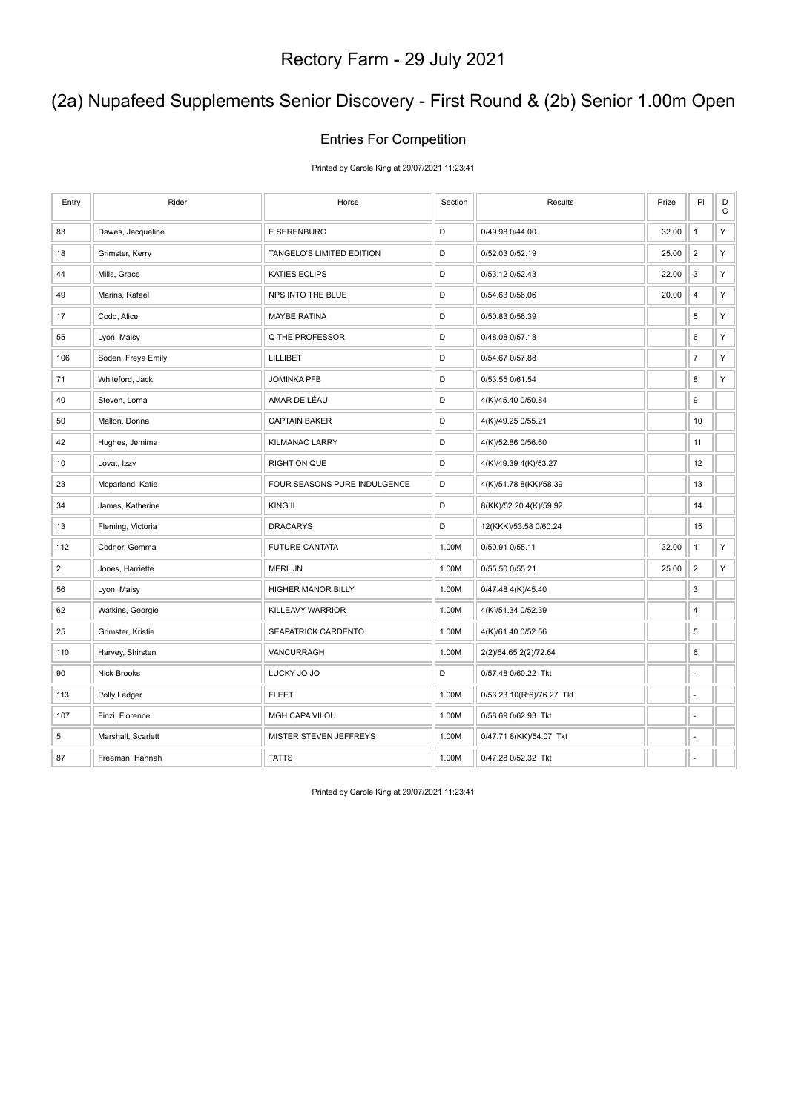### (2a) Nupafeed Supplements Senior Discovery - First Round & (2b) Senior 1.00m Open

#### Entries For Competition

Printed by Carole King at 29/07/2021 11:23:41

| Entry          | Rider              | Horse                        | Section     | Results                   | Prize | PI             | D<br>$\mathbf C$ |
|----------------|--------------------|------------------------------|-------------|---------------------------|-------|----------------|------------------|
| 83             | Dawes, Jacqueline  | <b>E.SERENBURG</b>           | D           | 0/49.98 0/44.00           | 32.00 | $\mathbf{1}$   | Υ                |
| 18             | Grimster, Kerry    | TANGELO'S LIMITED EDITION    | D           | 0/52.03 0/52.19           | 25.00 | $\overline{2}$ | Υ                |
| 44             | Mills, Grace       | <b>KATIES ECLIPS</b>         | D           | 0/53.12 0/52.43           | 22.00 | 3              | Υ                |
| 49             | Marins, Rafael     | NPS INTO THE BLUE            | D           | 0/54.63 0/56.06           | 20.00 | $\overline{4}$ | Υ                |
| 17             | Codd, Alice        | <b>MAYBE RATINA</b>          | $\mathsf D$ | 0/50.83 0/56.39           |       | 5              | $\mathsf Y$      |
| 55             | Lyon, Maisy        | Q THE PROFESSOR              | D           | 0/48.08 0/57.18           |       | 6              | Υ                |
| 106            | Soden, Freya Emily | <b>LILLIBET</b>              | D           | 0/54.67 0/57.88           |       | $\overline{7}$ | Υ                |
| 71             | Whiteford, Jack    | <b>JOMINKA PFB</b>           | D           | 0/53.55 0/61.54           |       | 8              | Υ                |
| 40             | Steven, Lorna      | AMAR DE LÉAU                 | D           | 4(K)/45.40 0/50.84        |       | 9              |                  |
| 50             | Mallon, Donna      | <b>CAPTAIN BAKER</b>         | D           | 4(K)/49.25 0/55.21        |       | 10             |                  |
| 42             | Hughes, Jemima     | <b>KILMANAC LARRY</b>        | D           | 4(K)/52.86 0/56.60        |       | 11             |                  |
| 10             | Lovat, Izzy        | <b>RIGHT ON QUE</b>          | D           | 4(K)/49.39 4(K)/53.27     |       | 12             |                  |
| 23             | Mcparland, Katie   | FOUR SEASONS PURE INDULGENCE | $\mathsf D$ | 4(K)/51.78 8(KK)/58.39    |       | 13             |                  |
| 34             | James, Katherine   | KING II                      | D           | 8(KK)/52.20 4(K)/59.92    |       | 14             |                  |
| 13             | Fleming, Victoria  | <b>DRACARYS</b>              | D           | 12(KKK)/53.58 0/60.24     |       | 15             |                  |
| 112            | Codner, Gemma      | <b>FUTURE CANTATA</b>        | 1.00M       | 0/50.91 0/55.11           | 32.00 | $\mathbf{1}$   | Υ                |
| $\overline{2}$ | Jones, Harriette   | <b>MERLIJN</b>               | 1.00M       | 0/55.50 0/55.21           | 25.00 | $\sqrt{2}$     | Υ                |
| 56             | Lyon, Maisy        | HIGHER MANOR BILLY           | 1.00M       | 0/47.48 4(K)/45.40        |       | 3              |                  |
| 62             | Watkins, Georgie   | KILLEAVY WARRIOR             | 1.00M       | 4(K)/51.34 0/52.39        |       | 4              |                  |
| 25             | Grimster, Kristie  | SEAPATRICK CARDENTO          | 1.00M       | 4(K)/61.40 0/52.56        |       | 5              |                  |
| 110            | Harvey, Shirsten   | VANCURRAGH                   | 1.00M       | 2(2)/64.65 2(2)/72.64     |       | 6              |                  |
| 90             | <b>Nick Brooks</b> | LUCKY JO JO                  | D           | 0/57.48 0/60.22 Tkt       |       | ä,             |                  |
| 113            | Polly Ledger       | <b>FLEET</b>                 | 1.00M       | 0/53.23 10(R:6)/76.27 Tkt |       | ä,             |                  |
| 107            | Finzi, Florence    | MGH CAPA VILOU               | 1.00M       | 0/58.69 0/62.93 Tkt       |       | ä,             |                  |
| 5              | Marshall, Scarlett | MISTER STEVEN JEFFREYS       | 1.00M       | 0/47.71 8(KK)/54.07 Tkt   |       | ä,             |                  |
| 87             | Freeman, Hannah    | <b>TATTS</b>                 | 1.00M       | 0/47.28 0/52.32 Tkt       |       | ä,             |                  |

Printed by Carole King at 29/07/2021 11:23:41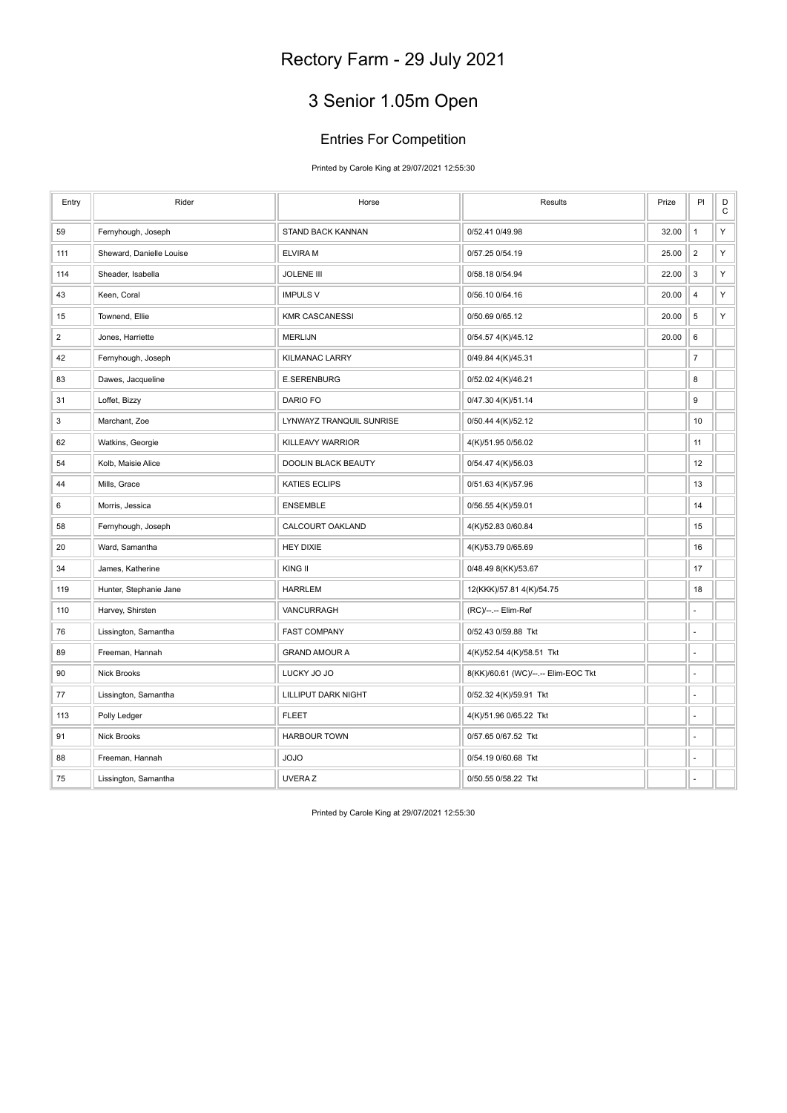### 3 Senior 1.05m Open

#### Entries For Competition

Printed by Carole King at 29/07/2021 12:55:30

| Entry          | Rider                    | Horse                      | Results                             | Prize | PI             | $_\mathrm{C}^\mathrm{D}$ |
|----------------|--------------------------|----------------------------|-------------------------------------|-------|----------------|--------------------------|
| 59             | Fernyhough, Joseph       | STAND BACK KANNAN          | 0/52.41 0/49.98                     | 32.00 | $\mathbf{1}$   | Υ                        |
| 111            | Sheward, Danielle Louise | <b>ELVIRAM</b>             | 0/57.25 0/54.19                     | 25.00 | $\overline{2}$ | Υ                        |
| 114            | Sheader, Isabella        | <b>JOLENE III</b>          | 0/58.18 0/54.94                     | 22.00 | 3              | Υ                        |
| 43             | Keen, Coral              | <b>IMPULS V</b>            | 0/56.10 0/64.16                     | 20.00 | $\sqrt{4}$     | Υ                        |
| 15             | Townend, Ellie           | <b>KMR CASCANESSI</b>      | 0/50.69 0/65.12                     | 20.00 | 5              | Υ                        |
| $\overline{2}$ | Jones, Harriette         | <b>MERLIJN</b>             | 0/54.57 4(K)/45.12                  | 20.00 | 6              |                          |
| 42             | Fernyhough, Joseph       | <b>KILMANAC LARRY</b>      | 0/49.84 4(K)/45.31                  |       | $\overline{7}$ |                          |
| 83             | Dawes, Jacqueline        | <b>E.SERENBURG</b>         | 0/52.02 4(K)/46.21                  |       | 8              |                          |
| 31             | Loffet, Bizzy            | DARIO FO                   | 0/47.30 4(K)/51.14                  |       | 9              |                          |
| 3              | Marchant, Zoe            | LYNWAYZ TRANQUIL SUNRISE   | 0/50.44 4(K)/52.12                  |       | 10             |                          |
| 62             | Watkins, Georgie         | KILLEAVY WARRIOR           | 4(K)/51.95 0/56.02                  |       | 11             |                          |
| 54             | Kolb, Maisie Alice       | <b>DOOLIN BLACK BEAUTY</b> | 0/54.47 4(K)/56.03                  |       | 12             |                          |
| 44             | Mills, Grace             | <b>KATIES ECLIPS</b>       | 0/51.63 4(K)/57.96                  |       | 13             |                          |
| 6              | Morris, Jessica          | <b>ENSEMBLE</b>            | 0/56.55 4(K)/59.01                  |       | 14             |                          |
| 58             | Fernyhough, Joseph       | CALCOURT OAKLAND           | 4(K)/52.83 0/60.84                  |       | 15             |                          |
| 20             | Ward, Samantha           | HEY DIXIE                  | 4(K)/53.79 0/65.69                  |       | 16             |                          |
| 34             | James, Katherine         | KING II                    | 0/48.49 8(KK)/53.67                 |       | 17             |                          |
| 119            | Hunter, Stephanie Jane   | <b>HARRLEM</b>             | 12(KKK)/57.81 4(K)/54.75            |       | 18             |                          |
| 110            | Harvey, Shirsten         | VANCURRAGH                 | (RC)/--.-- Elim-Ref                 |       | ÷,             |                          |
| 76             | Lissington, Samantha     | <b>FAST COMPANY</b>        | 0/52.43 0/59.88 Tkt                 |       | ٠              |                          |
| 89             | Freeman, Hannah          | <b>GRAND AMOUR A</b>       | 4(K)/52.54 4(K)/58.51 Tkt           |       | ÷,             |                          |
| 90             | Nick Brooks              | LUCKY JO JO                | 8(KK)/60.61 (WC)/--.-- Elim-EOC Tkt |       | ÷              |                          |
| 77             | Lissington, Samantha     | <b>LILLIPUT DARK NIGHT</b> | 0/52.32 4(K)/59.91 Tkt              |       | ä,             |                          |
| 113            | Polly Ledger             | <b>FLEET</b>               | 4(K)/51.96 0/65.22 Tkt              |       | ä,             |                          |
| 91             | <b>Nick Brooks</b>       | <b>HARBOUR TOWN</b>        | 0/57.65 0/67.52 Tkt                 |       | ÷,             |                          |
| 88             | Freeman, Hannah          | <b>JOJO</b>                | 0/54.19 0/60.68 Tkt                 |       | ä,             |                          |
| 75             | Lissington, Samantha     | <b>UVERAZ</b>              | 0/50.55 0/58.22 Tkt                 |       | ÷,             |                          |

Printed by Carole King at 29/07/2021 12:55:30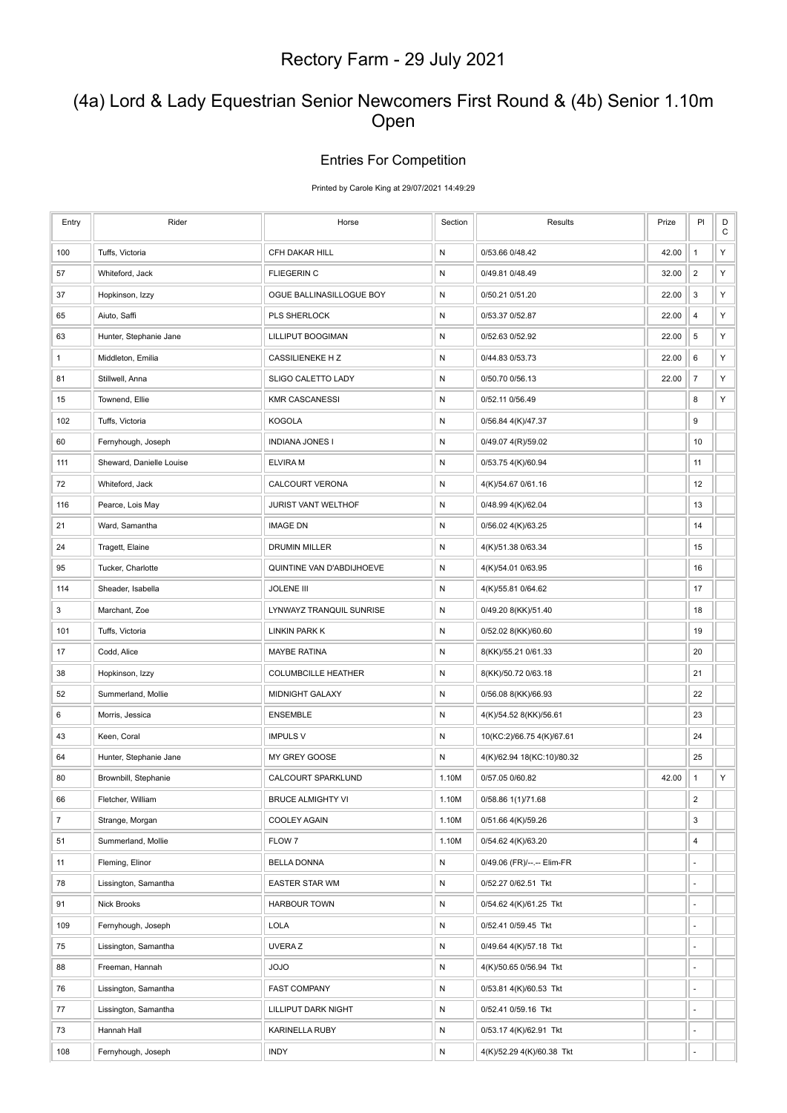### (4a) Lord & Lady Equestrian Senior Newcomers First Round & (4b) Senior 1.10m Open

#### Entries For Competition

Printed by Carole King at 29/07/2021 14:49:29

| Entry          | Rider                    | Horse                      | Section   | Results                    | Prize | PI                       | $_\mathrm{C}^\mathrm{D}$ |
|----------------|--------------------------|----------------------------|-----------|----------------------------|-------|--------------------------|--------------------------|
| 100            | Tuffs, Victoria          | CFH DAKAR HILL             | ${\sf N}$ | 0/53.66 0/48.42            | 42.00 | $\mathbf{1}$             | Y                        |
| 57             | Whiteford, Jack          | <b>FLIEGERIN C</b>         | ${\sf N}$ | 0/49.81 0/48.49            | 32.00 | $\overline{2}$           | Υ                        |
| 37             | Hopkinson, Izzy          | OGUE BALLINASILLOGUE BOY   | N         | 0/50.21 0/51.20            | 22.00 | 3                        | Υ                        |
| 65             | Aiuto, Saffi             | PLS SHERLOCK               | N         | 0/53.37 0/52.87            | 22.00 | 4                        | Υ                        |
| 63             | Hunter, Stephanie Jane   | LILLIPUT BOOGIMAN          | ${\sf N}$ | 0/52.63 0/52.92            | 22.00 | $\,$ 5 $\,$              | Υ                        |
| $\mathbf{1}$   | Middleton, Emilia        | <b>CASSILIENEKE HZ</b>     | N         | 0/44.83 0/53.73            | 22.00 | 6                        | Υ                        |
| 81             | Stillwell, Anna          | SLIGO CALETTO LADY         | N         | 0/50.70 0/56.13            | 22.00 | $\boldsymbol{7}$         | Υ                        |
| 15             | Townend, Ellie           | <b>KMR CASCANESSI</b>      | ${\sf N}$ | 0/52.11 0/56.49            |       | 8                        | Υ                        |
| 102            | Tuffs, Victoria          | <b>KOGOLA</b>              | ${\sf N}$ | 0/56.84 4(K)/47.37         |       | 9                        |                          |
| 60             | Fernyhough, Joseph       | <b>INDIANA JONES I</b>     | N         | 0/49.07 4(R)/59.02         |       | 10                       |                          |
| 111            | Sheward, Danielle Louise | <b>ELVIRA M</b>            | ${\sf N}$ | 0/53.75 4(K)/60.94         |       | 11                       |                          |
| 72             | Whiteford, Jack          | <b>CALCOURT VERONA</b>     | N         | 4(K)/54.67 0/61.16         |       | 12                       |                          |
| 116            | Pearce, Lois May         | JURIST VANT WELTHOF        | N         | 0/48.99 4(K)/62.04         |       | 13                       |                          |
| 21             | Ward, Samantha           | <b>IMAGE DN</b>            | ${\sf N}$ | 0/56.02 4(K)/63.25         |       | 14                       |                          |
| 24             | Tragett, Elaine          | <b>DRUMIN MILLER</b>       | N         | 4(K)/51.38 0/63.34         |       | 15                       |                          |
| 95             | Tucker, Charlotte        | QUINTINE VAN D'ABDIJHOEVE  | N         | 4(K)/54.01 0/63.95         |       | 16                       |                          |
| 114            | Sheader, Isabella        | <b>JOLENE III</b>          | ${\sf N}$ | 4(K)/55.81 0/64.62         |       | 17                       |                          |
| 3              | Marchant, Zoe            | LYNWAYZ TRANQUIL SUNRISE   | N         | 0/49.20 8(KK)/51.40        |       | 18                       |                          |
| 101            | Tuffs, Victoria          | LINKIN PARK K              | ${\sf N}$ | 0/52.02 8(KK)/60.60        |       | 19                       |                          |
| 17             | Codd, Alice              | <b>MAYBE RATINA</b>        | N         | 8(KK)/55.21 0/61.33        |       | 20                       |                          |
| 38             | Hopkinson, Izzy          | <b>COLUMBCILLE HEATHER</b> | N         | 8(KK)/50.72 0/63.18        |       | 21                       |                          |
| 52             | Summerland, Mollie       | <b>MIDNIGHT GALAXY</b>     | ${\sf N}$ | 0/56.08 8(KK)/66.93        |       | 22                       |                          |
| 6              | Morris, Jessica          | <b>ENSEMBLE</b>            | N         | 4(K)/54.52 8(KK)/56.61     |       | 23                       |                          |
| 43             | Keen, Coral              | <b>IMPULS V</b>            | N         | 10(KC:2)/66.75 4(K)/67.61  |       | 24                       |                          |
| 64             | Hunter, Stephanie Jane   | MY GREY GOOSE              | ${\sf N}$ | 4(K)/62.94 18(KC:10)/80.32 |       | 25                       |                          |
| 80             | Brownbill, Stephanie     | CALCOURT SPARKLUND         | 1.10M     | 0/57.05 0/60.82            | 42.00 | $\mathbf{1}$             | Υ                        |
| 66             | Fletcher, William        | <b>BRUCE ALMIGHTY VI</b>   | 1.10M     | 0/58.86 1(1)/71.68         |       | $\overline{2}$           |                          |
| $\overline{7}$ | Strange, Morgan          | COOLEY AGAIN               | 1.10M     | 0/51.66 4(K)/59.26         |       | 3                        |                          |
| 51             | Summerland, Mollie       | FLOW 7                     | 1.10M     | 0/54.62 4(K)/63.20         |       | 4                        |                          |
| 11             | Fleming, Elinor          | <b>BELLA DONNA</b>         | ${\sf N}$ | 0/49.06 (FR)/--.-- Elim-FR |       |                          |                          |
| 78             | Lissington, Samantha     | EASTER STAR WM             | ${\sf N}$ | 0/52.27 0/62.51 Tkt        |       | ä,                       |                          |
| 91             | Nick Brooks              | <b>HARBOUR TOWN</b>        | ${\sf N}$ | 0/54.62 4(K)/61.25 Tkt     |       | $\blacksquare$           |                          |
| 109            | Fernyhough, Joseph       | <b>LOLA</b>                | N         | 0/52.41 0/59.45 Tkt        |       | ä,                       |                          |
| 75             | Lissington, Samantha     | UVERA Z                    | ${\sf N}$ | 0/49.64 4(K)/57.18 Tkt     |       | ä,                       |                          |
| 88             | Freeman, Hannah          | OLOL                       | N         | 4(K)/50.65 0/56.94 Tkt     |       | ÷                        |                          |
| 76             | Lissington, Samantha     | <b>FAST COMPANY</b>        | ${\sf N}$ | 0/53.81 4(K)/60.53 Tkt     |       | ٠                        |                          |
| 77             | Lissington, Samantha     | LILLIPUT DARK NIGHT        | ${\sf N}$ | 0/52.41 0/59.16 Tkt        |       |                          |                          |
| 73             | Hannah Hall              | KARINELLA RUBY             | N         | 0/53.17 4(K)/62.91 Tkt     |       | $\overline{\phantom{a}}$ |                          |
| 108            | Fernyhough, Joseph       | <b>INDY</b>                | ${\sf N}$ | 4(K)/52.29 4(K)/60.38 Tkt  |       |                          |                          |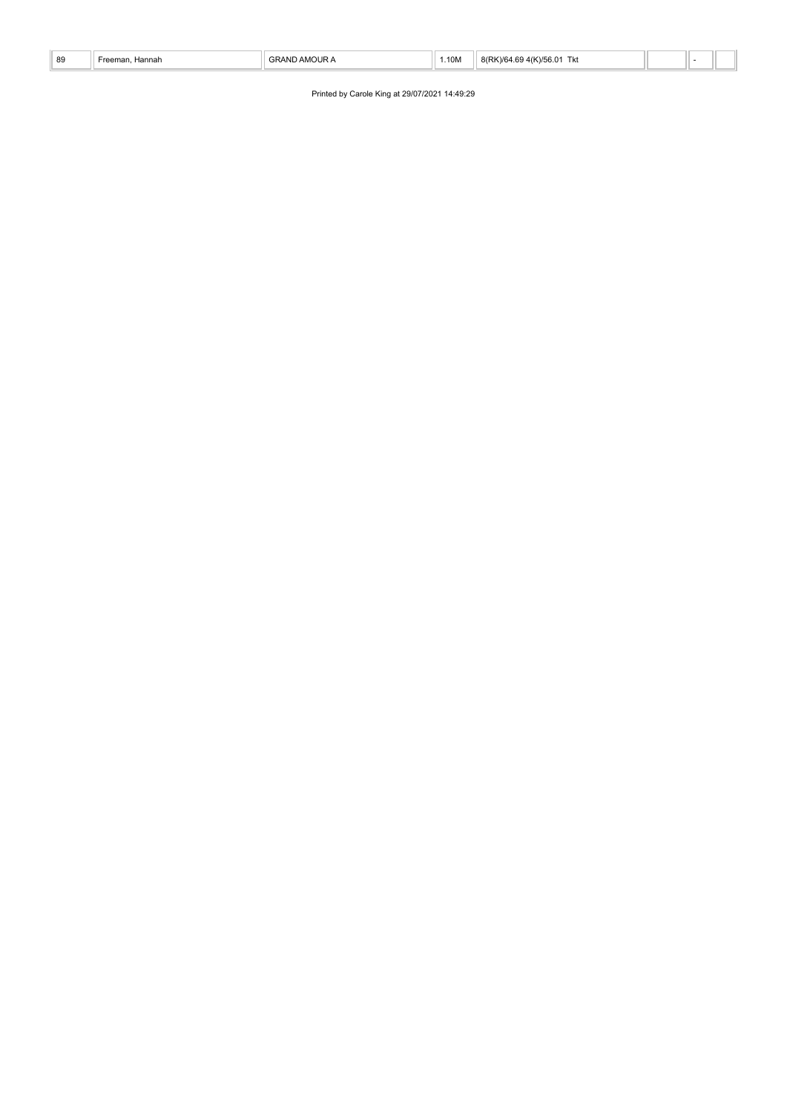| 89 | าnar<br>the contract of the contract of the contract of the contract of the contract of the contract of the contract of | 1.10M | $\overline{\phantom{a}}$<br>. |  |  |
|----|-------------------------------------------------------------------------------------------------------------------------|-------|-------------------------------|--|--|

Printed by Carole King at 29/07/2021 14:49:29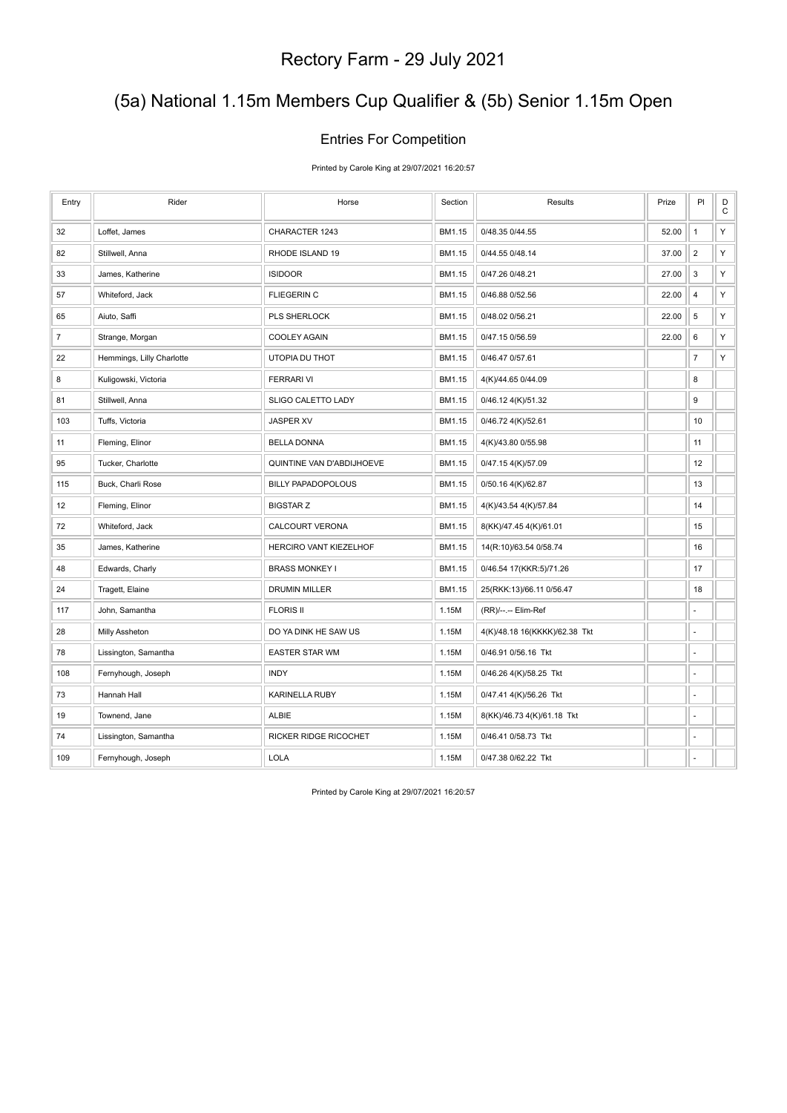### (5a) National 1.15m Members Cup Qualifier & (5b) Senior 1.15m Open

#### Entries For Competition

Printed by Carole King at 29/07/2021 16:20:57

| Entry          | Rider                     | Horse                     | Section | Results                       | Prize | PI             | $_{\rm C}^{\rm D}$ |
|----------------|---------------------------|---------------------------|---------|-------------------------------|-------|----------------|--------------------|
| 32             | Loffet, James             | CHARACTER 1243            | BM1.15  | 0/48.35 0/44.55               | 52.00 | $\mathbf{1}$   | Υ                  |
| 82             | Stillwell, Anna           | RHODE ISLAND 19           | BM1.15  | 0/44.55 0/48.14               | 37.00 | $\overline{2}$ | Υ                  |
| 33             | James, Katherine          | <b>ISIDOOR</b>            | BM1.15  | 0/47.26 0/48.21               | 27.00 | 3              | Υ                  |
| 57             | Whiteford, Jack           | <b>FLIEGERIN C</b>        | BM1.15  | 0/46.88 0/52.56               | 22.00 | $\overline{4}$ | Υ                  |
| 65             | Aiuto, Saffi              | PLS SHERLOCK              | BM1.15  | 0/48.02 0/56.21               | 22.00 | 5              | Υ                  |
| $\overline{7}$ | Strange, Morgan           | <b>COOLEY AGAIN</b>       | BM1.15  | 0/47.15 0/56.59               | 22.00 | 6              | Υ                  |
| 22             | Hemmings, Lilly Charlotte | UTOPIA DU THOT            | BM1.15  | 0/46.47 0/57.61               |       | $\overline{7}$ | Υ                  |
| 8              | Kuligowski, Victoria      | <b>FERRARI VI</b>         | BM1.15  | 4(K)/44.65 0/44.09            |       | 8              |                    |
| 81             | Stillwell, Anna           | SLIGO CALETTO LADY        | BM1.15  | 0/46.12 4(K)/51.32            |       | 9              |                    |
| 103            | Tuffs, Victoria           | <b>JASPER XV</b>          | BM1.15  | 0/46.72 4(K)/52.61            |       | 10             |                    |
| 11             | Fleming, Elinor           | <b>BELLA DONNA</b>        | BM1.15  | 4(K)/43.80 0/55.98            |       | 11             |                    |
| 95             | Tucker, Charlotte         | QUINTINE VAN D'ABDIJHOEVE | BM1.15  | 0/47.15 4(K)/57.09            |       | 12             |                    |
| 115            | Buck, Charli Rose         | <b>BILLY PAPADOPOLOUS</b> | BM1.15  | 0/50.16 4(K)/62.87            |       | 13             |                    |
| 12             | Fleming, Elinor           | <b>BIGSTAR Z</b>          | BM1.15  | 4(K)/43.54 4(K)/57.84         |       | 14             |                    |
| 72             | Whiteford, Jack           | <b>CALCOURT VERONA</b>    | BM1.15  | 8(KK)/47.45 4(K)/61.01        |       | 15             |                    |
| 35             | James, Katherine          | HERCIRO VANT KIEZELHOF    | BM1.15  | 14(R:10)/63.54 0/58.74        |       | 16             |                    |
| 48             | Edwards, Charly           | <b>BRASS MONKEY I</b>     | BM1.15  | 0/46.54 17(KKR:5)/71.26       |       | 17             |                    |
| 24             | Tragett, Elaine           | <b>DRUMIN MILLER</b>      | BM1.15  | 25(RKK:13)/66.11 0/56.47      |       | 18             |                    |
| 117            | John, Samantha            | <b>FLORIS II</b>          | 1.15M   | (RR)/--.-- Elim-Ref           |       | ÷,             |                    |
| 28             | Milly Assheton            | DO YA DINK HE SAW US      | 1.15M   | 4(K)/48.18 16(KKKK)/62.38 Tkt |       | ä,             |                    |
| 78             | Lissington, Samantha      | <b>EASTER STAR WM</b>     | 1.15M   | 0/46.91 0/56.16 Tkt           |       | ÷,             |                    |
| 108            | Fernyhough, Joseph        | <b>INDY</b>               | 1.15M   | 0/46.26 4(K)/58.25 Tkt        |       | ä,             |                    |
| 73             | Hannah Hall               | <b>KARINELLA RUBY</b>     | 1.15M   | 0/47.41 4(K)/56.26 Tkt        |       | ÷,             |                    |
| 19             | Townend, Jane             | <b>ALBIE</b>              | 1.15M   | 8(KK)/46.73 4(K)/61.18 Tkt    |       | ä,             |                    |
| 74             | Lissington, Samantha      | RICKER RIDGE RICOCHET     | 1.15M   | 0/46.41 0/58.73 Tkt           |       | ä,             |                    |
| 109            | Fernyhough, Joseph        | <b>LOLA</b>               | 1.15M   | 0/47.38 0/62.22 Tkt           |       | ä,             |                    |

Printed by Carole King at 29/07/2021 16:20:57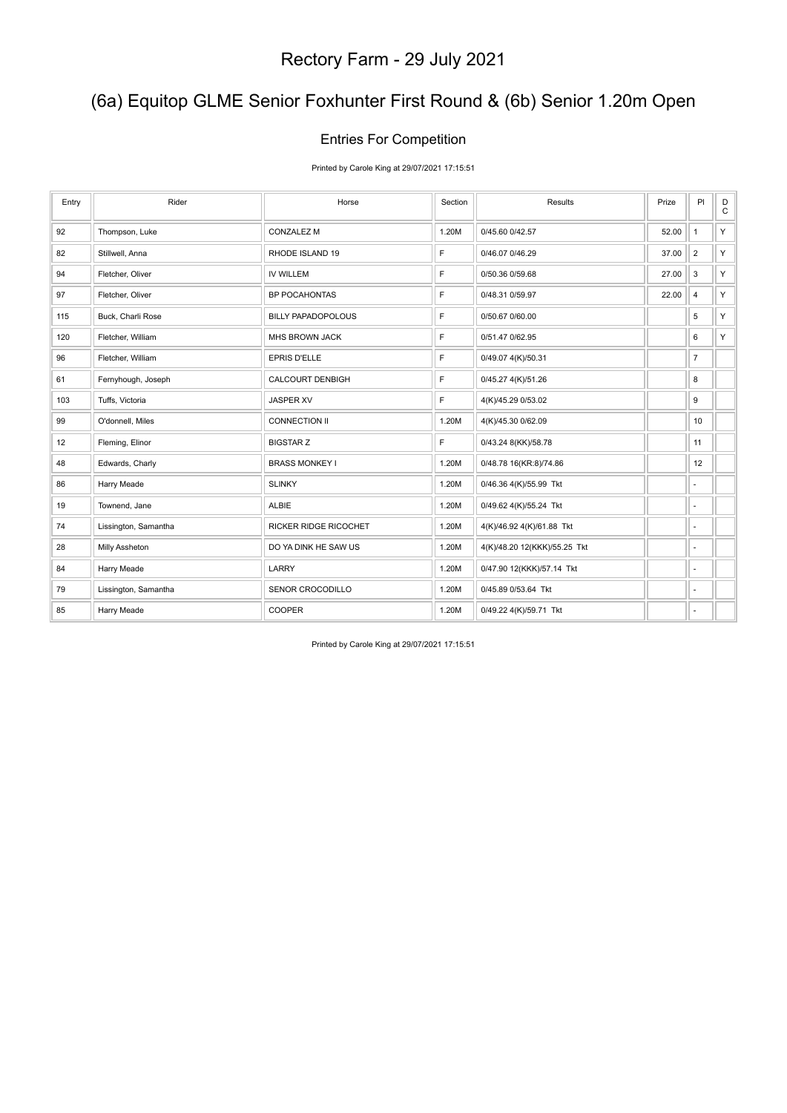### (6a) Equitop GLME Senior Foxhunter First Round & (6b) Senior 1.20m Open

#### Entries For Competition

Printed by Carole King at 29/07/2021 17:15:51

| Entry | Rider                | Horse                     | Section | Results                      | Prize | PI                       | D<br>$\mathtt{C}$ |
|-------|----------------------|---------------------------|---------|------------------------------|-------|--------------------------|-------------------|
| 92    | Thompson, Luke       | <b>CONZALEZ M</b>         | 1.20M   | 0/45.60 0/42.57              | 52.00 | $\mathbf{1}$             | Y.                |
| 82    | Stillwell, Anna      | RHODE ISLAND 19           | F       | 0/46.07 0/46.29              | 37.00 | $\overline{2}$           | Y.                |
| 94    | Fletcher, Oliver     | <b>IV WILLEM</b>          | F       | 0/50.36 0/59.68              | 27.00 | 3                        | Y.                |
| 97    | Fletcher, Oliver     | <b>BP POCAHONTAS</b>      | F       | 0/48.31 0/59.97              | 22.00 | $\overline{\mathbf{4}}$  | Y.                |
| 115   | Buck, Charli Rose    | <b>BILLY PAPADOPOLOUS</b> | F       | 0/50.67 0/60.00              |       | 5                        | Y.                |
| 120   | Fletcher, William    | MHS BROWN JACK            | F       | 0/51.47 0/62.95              |       | 6                        | Y.                |
| 96    | Fletcher, William    | EPRIS D'ELLE              | F       | 0/49.07 4(K)/50.31           |       | $\overline{7}$           |                   |
| 61    | Fernyhough, Joseph   | <b>CALCOURT DENBIGH</b>   | F       | 0/45.27 4(K)/51.26           |       | 8                        |                   |
| 103   | Tuffs, Victoria      | <b>JASPER XV</b>          | F       | 4(K)/45.29 0/53.02           |       | 9                        |                   |
| 99    | O'donnell, Miles     | CONNECTION II             | 1.20M   | 4(K)/45.30 0/62.09           |       | 10                       |                   |
| 12    | Fleming, Elinor      | <b>BIGSTAR Z</b>          | F       | 0/43.24 8(KK)/58.78          |       | 11                       |                   |
| 48    | Edwards, Charly      | <b>BRASS MONKEY I</b>     | 1.20M   | 0/48.78 16(KR:8)/74.86       |       | 12                       |                   |
| 86    | Harry Meade          | <b>SLINKY</b>             | 1.20M   | 0/46.36 4(K)/55.99 Tkt       |       | $\sim$                   |                   |
| 19    | Townend, Jane        | ALBIE                     | 1.20M   | 0/49.62 4(K)/55.24 Tkt       |       | $\overline{a}$           |                   |
| 74    | Lissington, Samantha | RICKER RIDGE RICOCHET     | 1.20M   | 4(K)/46.92 4(K)/61.88 Tkt    |       | ×.                       |                   |
| 28    | Milly Assheton       | DO YA DINK HE SAW US      | 1.20M   | 4(K)/48.20 12(KKK)/55.25 Tkt |       | $\overline{\phantom{a}}$ |                   |
| 84    | Harry Meade          | LARRY                     | 1.20M   | 0/47.90 12(KKK)/57.14 Tkt    |       | $\overline{\phantom{a}}$ |                   |
| 79    | Lissington, Samantha | SENOR CROCODILLO          | 1.20M   | 0/45.89 0/53.64 Tkt          |       | ٠                        |                   |
| 85    | Harry Meade          | <b>COOPER</b>             | 1.20M   | 0/49.22 4(K)/59.71 Tkt       |       | ٠                        |                   |

Printed by Carole King at 29/07/2021 17:15:51